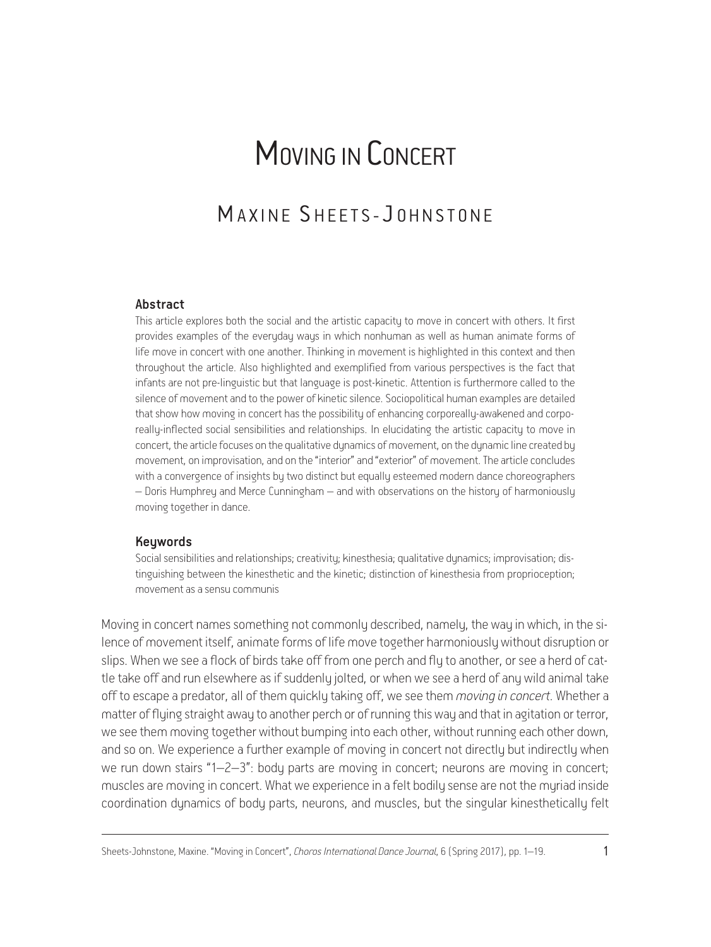# MOVING IN CONCERT

# MAXINE SHEETS-JOHNSTONE

#### Abstract

This article explores both the social and the artistic capacity to move in concert with others. It first provides examples of the everyday ways in which nonhuman as well as human animate forms of life move in concert with one another. Thinking in movement is highlighted in this context and then throughout the article. Also highlighted and exemplified from various perspectives is the fact that infants are not pre-linguistic but that language is post-kinetic. Attention is furthermore called to the silence of movement and to the power of kinetic silence. Sociopolitical human examples are detailed that show how moving in concert has the possibility of enhancing corporeally-awakened and corporeally-inflected social sensibilities and relationships. In elucidating the artistic capacity to move in concert, the article focuses on the qualitative dynamics of movement, on the dynamic line created by movement, on improvisation, and on the "interior" and "exterior" of movement. The article concludes with a convergence of insights by two distinct but equally esteemed modern dance choreographers – Doris Humphrey and Merce Cunningham – and with observations on the history of harmoniously moving together in dance.

#### Keywords

Social sensibilities and relationships; creativity; kinesthesia; qualitative dynamics; improvisation; distinguishing between the kinesthetic and the kinetic; distinction of kinesthesia from proprioception; movement as a sensu communis

Moving in concert names something not commonly described, namely, the way in which, in the silence of movement itself, animate forms of life move together harmoniously without disruption or slips. When we see a flock of birds take off from one perch and fly to another, or see a herd of cattle take off and run elsewhere as if suddenly jolted, or when we see a herd of any wild animal take off to escape a predator, all of them quickly taking off, we see them *moving in concert*. Whether a matter of flying straight away to another perch or of running this way and that in agitation or terror, we see them moving together without bumping into each other, without running each other down, and so on. We experience a further example of moving in concert not directly but indirectly when we run down stairs "1–2–3": body parts are moving in concert; neurons are moving in concert; muscles are moving in concert. What we experience in a felt bodily sense are not the myriad inside coordination dynamics of body parts, neurons, and muscles, but the singular kinesthetically felt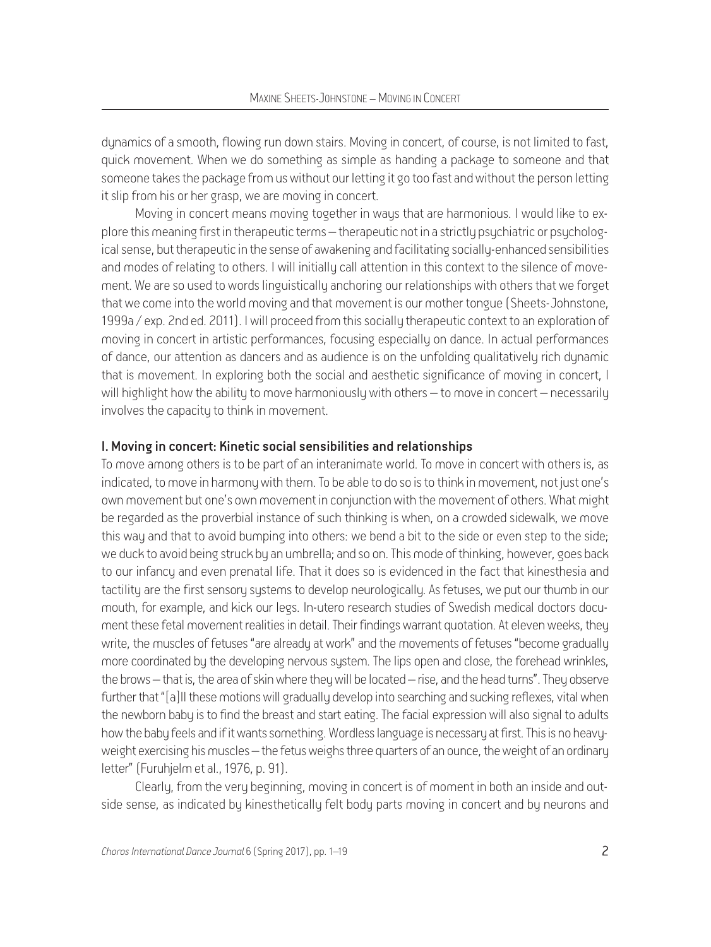dynamics of a smooth, flowing run down stairs. Moving in concert, of course, is not limited to fast, quick movement. When we do something as simple as handing a package to someone and that someone takes the package from us without our letting it go too fast and without the person letting it slip from his or her grasp, we are moving in concert.

Moving in concert means moving together in ways that are harmonious. I would like to explore this meaning first in therapeutic terms – therapeutic not in a strictly psychiatric or psychological sense, but therapeutic in the sense of awakening and facilitating socially-enhanced sensibilities and modes of relating to others. I will initially call attention in this context to the silence of movement. We are so used to words linguistically anchoring our relationships with others that we forget that we come into the world moving and that movement is our mother tongue (Sheets-Johnstone, 1999a / exp. 2nd ed. 2011). I will proceed from this socially therapeutic context to an exploration of moving in concert in artistic performances, focusing especially on dance. In actual performances of dance, our attention as dancers and as audience is on the unfolding qualitatively rich dynamic that is movement. In exploring both the social and aesthetic significance of moving in concert, I will highlight how the ability to move harmoniously with others – to move in concert – necessarily involves the capacity to think in movement.

## I. Moving in concert: Kinetic social sensibilities and relationships

To move among others is to be part of an interanimate world. To move in concert with others is, as indicated, to move in harmony with them. To be able to do so is to think in movement, not just one's own movement but one's own movement in conjunction with the movement of others. What might be regarded as the proverbial instance of such thinking is when, on a crowded sidewalk, we move this way and that to avoid bumping into others: we bend a bit to the side or even step to the side; we duck to avoid being struck by an umbrella; and so on. This mode of thinking, however, goes back to our infancy and even prenatal life. That it does so is evidenced in the fact that kinesthesia and tactility are the first sensory systems to develop neurologically. As fetuses, we put our thumb in our mouth, for example, and kick our legs. In-utero research studies of Swedish medical doctors document these fetal movement realities in detail. Their findings warrant quotation. At eleven weeks, they write, the muscles of fetuses "are already at work" and the movements of fetuses "become gradually more coordinated by the developing nervous system. The lips open and close, the forehead wrinkles, the brows – that is, the area of skin where they will be located – rise, and the head turns". They observe further that "[a]ll these motions will gradually develop into searching and sucking reflexes, vital when the newborn baby is to find the breast and start eating. The facial expression will also signal to adults how the baby feels and if it wants something. Wordless language is necessary at first. This is no heavyweight exercising his muscles – the fetus weighs three quarters of an ounce, the weight of an ordinary letter" (Furuhjelm et al., 1976, p. 91).

Clearly, from the very beginning, moving in concert is of moment in both an inside and outside sense, as indicated by kinesthetically felt body parts moving in concert and by neurons and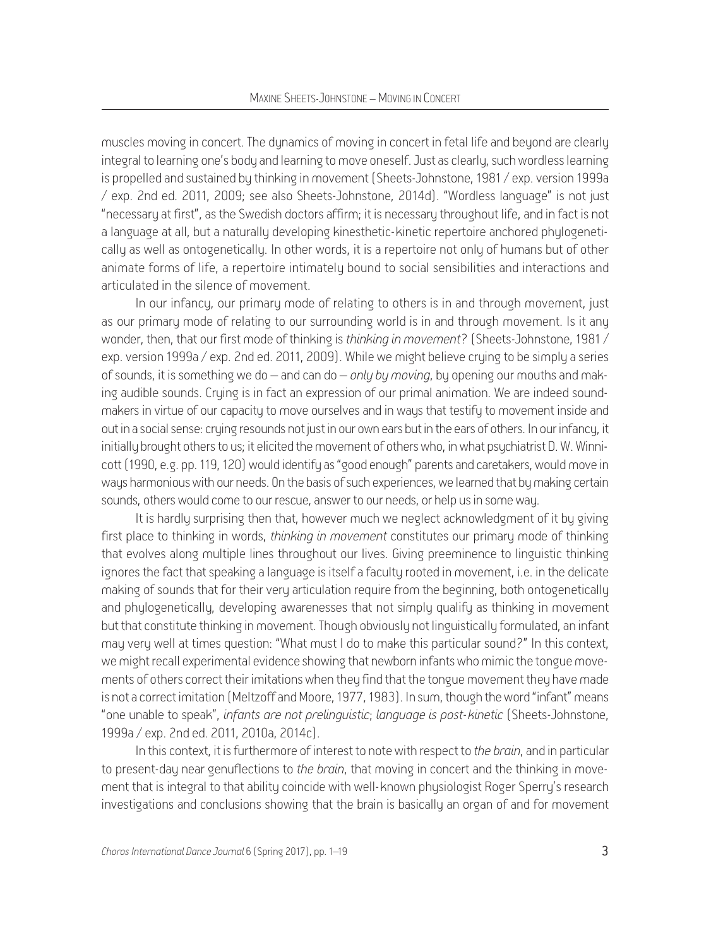muscles moving in concert. The dynamics of moving in concert in fetal life and beyond are clearly integral to learning one's body and learning to move oneself. Just as clearly, such wordless learning is propelled and sustained by thinking in movement (Sheets-Johnstone, 1981 / exp. version 1999a / exp. 2nd ed. 2011, 2009; see also Sheets-Johnstone, 2014d). "Wordless language" is not just "necessary at first", as the Swedish doctors affirm; it is necessary throughout life, and in fact is not a language at all, but a naturally developing kinesthetic-kinetic repertoire anchored phylogenetically as well as ontogenetically. In other words, it is a repertoire not only of humans but of other animate forms of life, a repertoire intimately bound to social sensibilities and interactions and articulated in the silence of movement.

In our infancy, our primary mode of relating to others is in and through movement, just as our primary mode of relating to our surrounding world is in and through movement. Is it any wonder, then, that our first mode of thinking is *thinking in movement*? (Sheets-Johnstone, 1981 / exp. version 1999a / exp. 2nd ed. 2011, 2009). While we might believe crying to be simply a series of sounds, it is something we do – and can do – *only by moving*, by opening our mouths and making audible sounds. Crying is in fact an expression of our primal animation. We are indeed soundmakers in virtue of our capacity to move ourselves and in ways that testify to movement inside and out in a social sense: crying resounds not just in our own ears but in the ears of others. In our infancy, it initially brought others to us; it elicited the movement of others who, in what psychiatrist D. W. Winnicott (1990, e.g. pp. 119, 120) would identify as "good enough" parents and caretakers, would move in ways harmonious with our needs. On the basis of such experiences, we learned that by making certain sounds, others would come to our rescue, answer to our needs, or help us in some way.

It is hardly surprising then that, however much we neglect acknowledgment of it by giving first place to thinking in words, *thinking in movement* constitutes our primary mode of thinking that evolves along multiple lines throughout our lives. Giving preeminence to linguistic thinking ignores the fact that speaking a language is itself a faculty rooted in movement, i.e. in the delicate making of sounds that for their very articulation require from the beginning, both ontogenetically and phylogenetically, developing awarenesses that not simply qualify as thinking in movement but that constitute thinking in movement. Though obviously not linguistically formulated, an infant may very well at times question: "What must I do to make this particular sound?" In this context, we might recall experimental evidence showing that newborn infants who mimic the tongue movements of others correct their imitations when they find that the tongue movement they have made is not a correct imitation (Meltzoff and Moore, 1977, 1983). In sum, though the word "infant" means "one unable to speak", *infants are not prelinguistic*; *language is post-kinetic* (Sheets-Johnstone, 1999a / exp. 2nd ed. 2011, 2010a, 2014c).

In this context, it is furthermore of interest to note with respect to *the brain*, and in particular to present-day near genuflections to *the brain*, that moving in concert and the thinking in movement that is integral to that ability coincide with well-known physiologist Roger Sperry's research investigations and conclusions showing that the brain is basically an organ of and for movement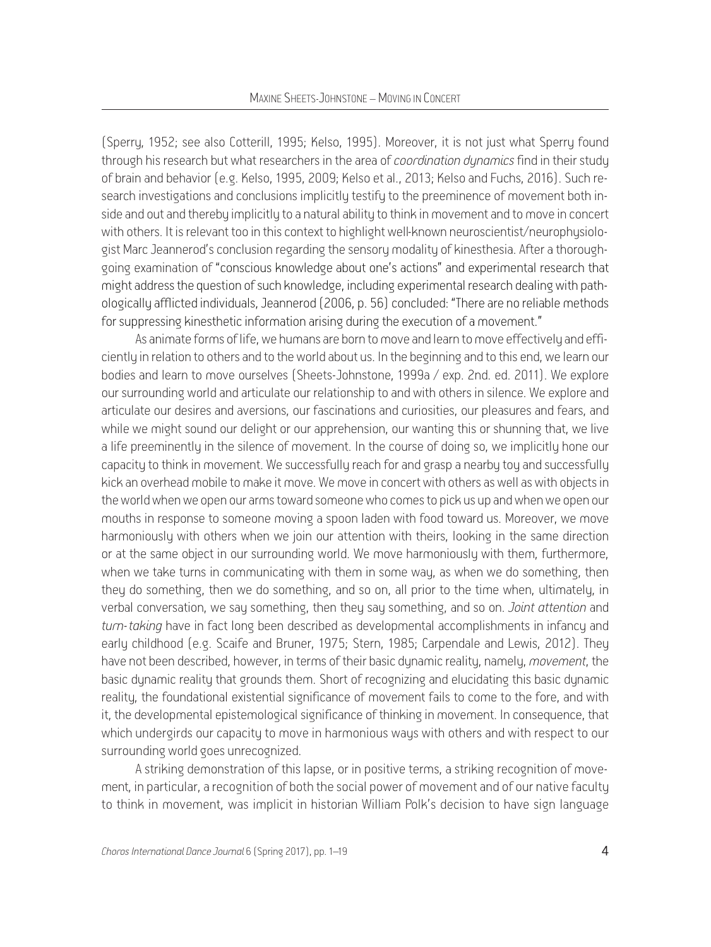(Sperry, 1952; see also Cotterill, 1995; Kelso, 1995). Moreover, it is not just what Sperry found through his research but what researchers in the area of *coordination dynamics* find in their study of brain and behavior (e.g. Kelso, 1995, 2009; Kelso et al., 2013; Kelso and Fuchs, 2016). Such research investigations and conclusions implicitly testify to the preeminence of movement both inside and out and thereby implicitly to a natural ability to think in movement and to move in concert with others. It is relevant too in this context to highlight well-known neuroscientist/neurophusiologist Marc Jeannerod's conclusion regarding the sensory modality of kinesthesia. After a thoroughgoing examination of "conscious knowledge about one's actions" and experimental research that might address the question of such knowledge, including experimental research dealing with pathologically afflicted individuals, Jeannerod (2006, p. 56) concluded: "There are no reliable methods for suppressing kinesthetic information arising during the execution of a movement."

As animate forms of life, we humans are born to move and learn to move effectively and efficiently in relation to others and to the world about us. In the beginning and to this end, we learn our bodies and learn to move ourselves (Sheets-Johnstone, 1999a / exp. 2nd. ed. 2011). We explore our surrounding world and articulate our relationship to and with others in silence. We explore and articulate our desires and aversions, our fascinations and curiosities, our pleasures and fears, and while we might sound our delight or our apprehension, our wanting this or shunning that, we live a life preeminently in the silence of movement. In the course of doing so, we implicitly hone our capacity to think in movement. We successfully reach for and grasp a nearby toy and successfully kick an overhead mobile to make it move. We move in concert with others as well as with objects in the world when we open our arms toward someone who comes to pick us up and when we open our mouths in response to someone moving a spoon laden with food toward us. Moreover, we move harmoniously with others when we join our attention with theirs, looking in the same direction or at the same object in our surrounding world. We move harmoniously with them, furthermore, when we take turns in communicating with them in some way, as when we do something, then they do something, then we do something, and so on, all prior to the time when, ultimately, in verbal conversation, we say something, then they say something, and so on. *Joint attention* and *turn-taking* have in fact long been described as developmental accomplishments in infancy and early childhood (e.g. Scaife and Bruner, 1975; Stern, 1985; Carpendale and Lewis, 2012). They have not been described, however, in terms of their basic dynamic reality, namely, *movement*, the basic dynamic reality that grounds them. Short of recognizing and elucidating this basic dynamic reality, the foundational existential significance of movement fails to come to the fore, and with it, the developmental epistemological significance of thinking in movement. In consequence, that which undergirds our capacity to move in harmonious ways with others and with respect to our surrounding world goes unrecognized.

A striking demonstration of this lapse, or in positive terms, a striking recognition of movement, in particular, a recognition of both the social power of movement and of our native faculty to think in movement, was implicit in historian William Polk's decision to have sign language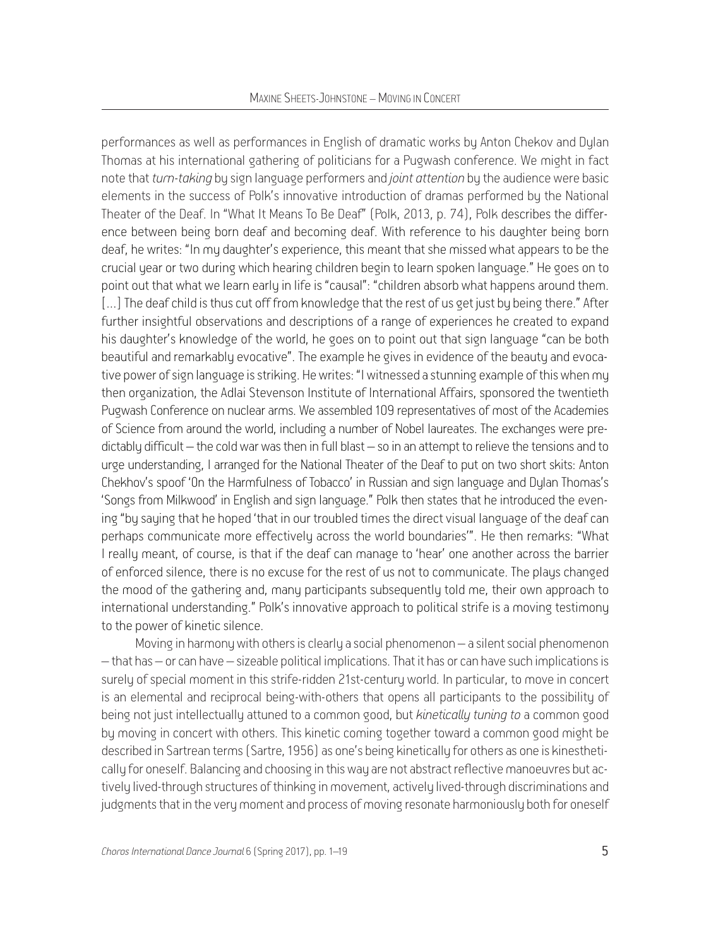performances as well as performances in English of dramatic works by Anton Chekov and Dylan Thomas at his international gathering of politicians for a Pugwash conference. We might in fact note that *turn-taking* by sign language performers and *joint attention* by the audience were basic elements in the success of Polk's innovative introduction of dramas performed by the National Theater of the Deaf. In "What It Means To Be Deaf" (Polk, 2013, p. 74), Polk describes the difference between being born deaf and becoming deaf. With reference to his daughter being born deaf, he writes: "In my daughter's experience, this meant that she missed what appears to be the crucial year or two during which hearing children begin to learn spoken language." He goes on to point out that what we learn early in life is "causal": "children absorb what happens around them. [...] The deaf child is thus cut off from knowledge that the rest of us get just bu being there." After further insightful observations and descriptions of a range of experiences he created to expand his daughter's knowledge of the world, he goes on to point out that sign language "can be both beautiful and remarkably evocative". The example he gives in evidence of the beauty and evocative power of sign language is striking. He writes: "I witnessed a stunning example of this when my then organization, the Adlai Stevenson Institute of International Affairs, sponsored the twentieth Pugwash Conference on nuclear arms. We assembled 109 representatives of most of the Academies of Science from around the world, including a number of Nobel laureates. The exchanges were predictably difficult – the cold war was then in full blast – so in an attempt to relieve the tensions and to urge understanding, I arranged for the National Theater of the Deaf to put on two short skits: Anton Chekhov's spoof 'On the Harmfulness of Tobacco' in Russian and sign language and Dylan Thomas's 'Songs from Milkwood' in English and sign language." Polk then states that he introduced the evening "by saying that he hoped 'that in our troubled times the direct visual language of the deaf can perhaps communicate more effectively across the world boundaries'". He then remarks: "What I really meant, of course, is that if the deaf can manage to 'hear' one another across the barrier of enforced silence, there is no excuse for the rest of us not to communicate. The plays changed the mood of the gathering and, many participants subsequently told me, their own approach to international understanding." Polk's innovative approach to political strife is a moving testimony to the power of kinetic silence.

Moving in harmony with others is clearly a social phenomenon – a silent social phenomenon – that has – or can have – sizeable political implications. That it has or can have such implications is surely of special moment in this strife-ridden 21st-century world. In particular, to move in concert is an elemental and reciprocal being-with-others that opens all participants to the possibility of being not just intellectually attuned to a common good, but *kinetically tuning to* a common good by moving in concert with others. This kinetic coming together toward a common good might be described in Sartrean terms (Sartre, 1956) as one's being kinetically for others as one is kinesthetically for oneself. Balancing and choosing in this way are not abstract reflective manoeuvres but actively lived-through structures of thinking in movement, actively lived-through discriminations and judgments that in the very moment and process of moving resonate harmoniously both for oneself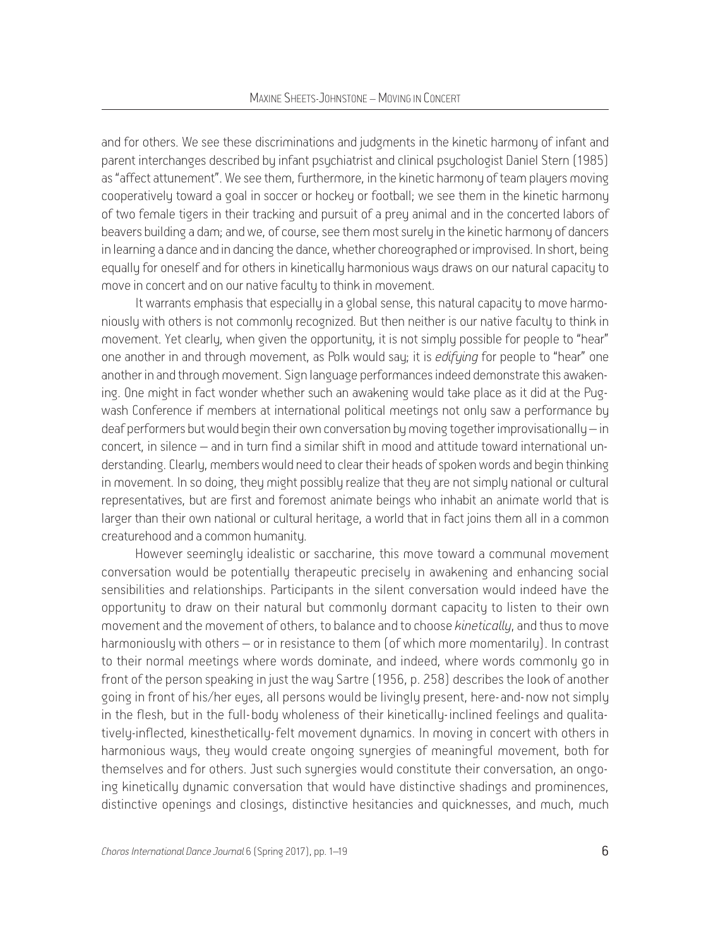and for others. We see these discriminations and judgments in the kinetic harmony of infant and parent interchanges described by infant psychiatrist and clinical psychologist Daniel Stern (1985) as "affect attunement". We see them, furthermore, in the kinetic harmony of team players moving cooperatively toward a goal in soccer or hockey or football; we see them in the kinetic harmony of two female tigers in their tracking and pursuit of a prey animal and in the concerted labors of beavers building a dam; and we, of course, see them most surely in the kinetic harmony of dancers in learning a dance and in dancing the dance, whether choreographed or improvised. In short, being equally for oneself and for others in kinetically harmonious ways draws on our natural capacity to move in concert and on our native faculty to think in movement.

It warrants emphasis that especially in a global sense, this natural capacity to move harmoniously with others is not commonly recognized. But then neither is our native faculty to think in movement. Yet clearly, when given the opportunity, it is not simply possible for people to "hear" one another in and through movement, as Polk would say; it is *edifying* for people to "hear" one another in and through movement. Sign language performances indeed demonstrate this awakening. One might in fact wonder whether such an awakening would take place as it did at the Pugwash Conference if members at international political meetings not only saw a performance by deaf performers but would begin their own conversation by moving together improvisationally – in concert, in silence – and in turn find a similar shift in mood and attitude toward international understanding. Clearly, members would need to clear their heads of spoken words and begin thinking in movement. In so doing, they might possibly realize that they are not simply national or cultural representatives, but are first and foremost animate beings who inhabit an animate world that is larger than their own national or cultural heritage, a world that in fact joins them all in a common creaturehood and a common humanity.

However seemingly idealistic or saccharine, this move toward a communal movement conversation would be potentially therapeutic precisely in awakening and enhancing social sensibilities and relationships. Participants in the silent conversation would indeed have the opportunity to draw on their natural but commonly dormant capacity to listen to their own movement and the movement of others, to balance and to choose *kinetically*, and thus to move harmoniously with others – or in resistance to them (of which more momentarily). In contrast to their normal meetings where words dominate, and indeed, where words commonly go in front of the person speaking in just the way Sartre (1956, p. 258) describes the look of another going in front of his/her eyes, all persons would be livingly present, here-and-now not simply in the flesh, but in the full-body wholeness of their kinetically-inclined feelings and qualitatively-inflected, kinesthetically-felt movement dynamics. In moving in concert with others in harmonious ways, they would create ongoing synergies of meaningful movement, both for themselves and for others. Just such synergies would constitute their conversation, an ongoing kinetically dynamic conversation that would have distinctive shadings and prominences, distinctive openings and closings, distinctive hesitancies and quicknesses, and much, much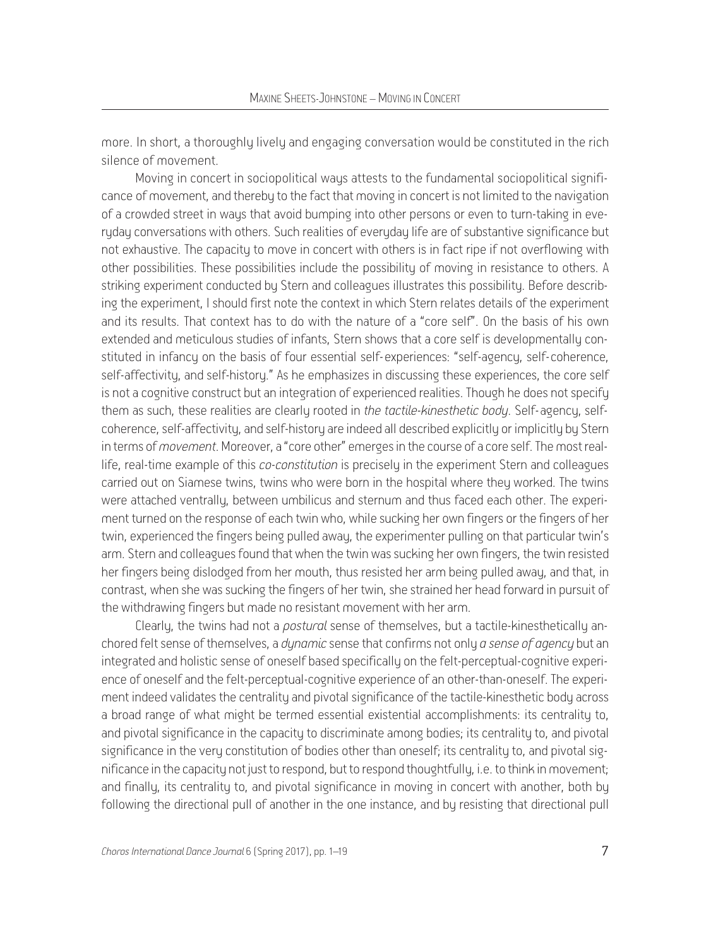more. In short, a thoroughly lively and engaging conversation would be constituted in the rich silence of movement.

Moving in concert in sociopolitical ways attests to the fundamental sociopolitical significance of movement, and thereby to the fact that moving in concert is not limited to the navigation of a crowded street in ways that avoid bumping into other persons or even to turn-taking in everuday conversations with others. Such realities of everyday life are of substantive significance but not exhaustive. The capacitu to move in concert with others is in fact ripe if not overflowing with other possibilities. These possibilities include the possibility of moving in resistance to others. A striking experiment conducted by Stern and colleagues illustrates this possibility. Before describing the experiment, I should first note the context in which Stern relates details of the experiment and its results. That context has to do with the nature of a "core self". On the basis of his own extended and meticulous studies of infants, Stern shows that a core self is developmentally constituted in infancy on the basis of four essential self-experiences: "self-agency, self-coherence, self-affectivity, and self-history." As he emphasizes in discussing these experiences, the core self is not a cognitive construct but an integration of experienced realities. Though he does not specify them as such, these realities are clearly rooted in *the tactile-kinesthetic body*. Self-agency, selfcoherence, self-affectivity, and self-history are indeed all described explicitly or implicitly by Stern in terms of *movement*. Moreover, a "core other" emerges in the course of a core self. The most reallife, real-time example of this *co-constitution* is precisely in the experiment Stern and colleagues carried out on Siamese twins, twins who were born in the hospital where they worked. The twins were attached ventrally, between umbilicus and sternum and thus faced each other. The experiment turned on the response of each twin who, while sucking her own fingers or the fingers of her twin, experienced the fingers being pulled away, the experimenter pulling on that particular twin's arm. Stern and colleagues found that when the twin was sucking her own fingers, the twin resisted her fingers being dislodged from her mouth, thus resisted her arm being pulled away, and that, in contrast, when she was sucking the fingers of her twin, she strained her head forward in pursuit of the withdrawing fingers but made no resistant movement with her arm.

Clearly, the twins had not a *postural* sense of themselves, but a tactile-kinesthetically anchored felt sense of themselves, a *dynamic* sense that confirms not only *a sense of agency* but an integrated and holistic sense of oneself based specifically on the felt-perceptual-cognitive experience of oneself and the felt-perceptual-cognitive experience of an other-than-oneself. The experiment indeed validates the centrality and pivotal significance of the tactile-kinesthetic body across a broad range of what might be termed essential existential accomplishments: its centrality to, and pivotal significance in the capacity to discriminate among bodies; its centrality to, and pivotal significance in the very constitution of bodies other than oneself; its centrality to, and pivotal significance in the capacity not just to respond, but to respond thoughtfully, i.e. to think in movement; and finally, its centrality to, and pivotal significance in moving in concert with another, both by following the directional pull of another in the one instance, and by resisting that directional pull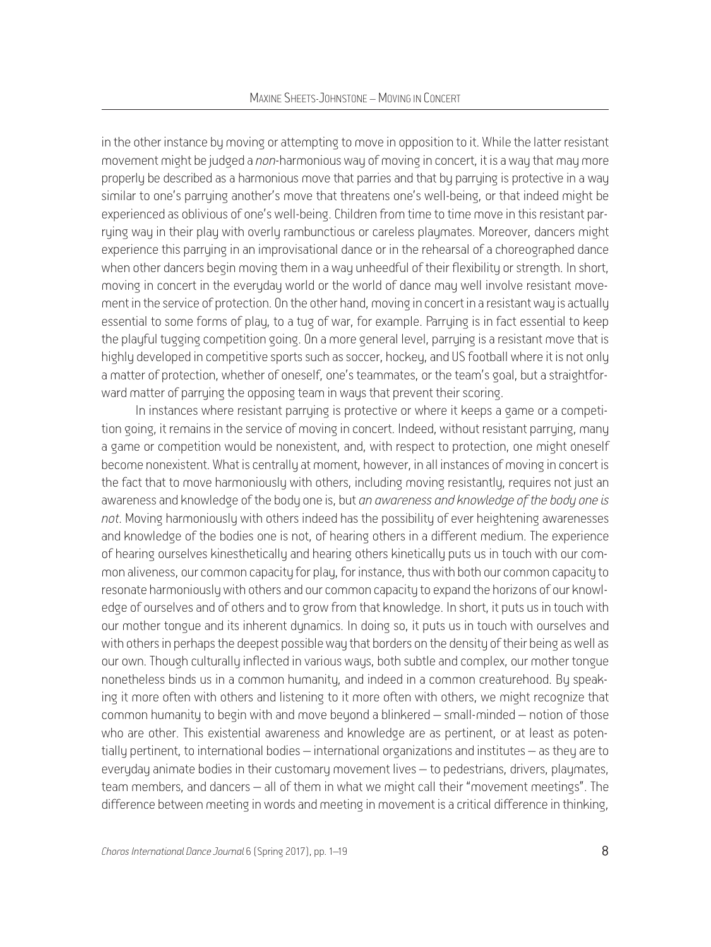in the other instance by moving or attempting to move in opposition to it. While the latter resistant movement might be judged a *non*-harmonious way of moving in concert, it is a way that may more properly be described as a harmonious move that parries and that by parrying is protective in a way similar to one's parrying another's move that threatens one's well-being, or that indeed might be experienced as oblivious of one's well-being. Children from time to time move in this resistant parruing way in their play with overly rambunctious or careless playmates. Moreover, dancers might experience this parrying in an improvisational dance or in the rehearsal of a choreographed dance when other dancers begin moving them in a way unheedful of their flexibility or strength. In short, moving in concert in the everyday world or the world of dance may well involve resistant movement in the service of protection. On the other hand, moving in concert in a resistant way is actually essential to some forms of play, to a tug of war, for example. Parrying is in fact essential to keep the playful tugging competition going. On a more general level, parrying is a resistant move that is highly developed in competitive sports such as soccer, hockey, and US football where it is not only a matter of protection, whether of oneself, one's teammates, or the team's goal, but a straightforward matter of parrying the opposing team in ways that prevent their scoring.

In instances where resistant parrying is protective or where it keeps a game or a competition going, it remains in the service of moving in concert. Indeed, without resistant parrying, many a game or competition would be nonexistent, and, with respect to protection, one might oneself become nonexistent. What is centrally at moment, however, in all instances of moving in concert is the fact that to move harmoniously with others, including moving resistantly, requires not just an awareness and knowledge of the body one is, but *an awareness and knowledge of the body one is not*. Moving harmoniously with others indeed has the possibility of ever heightening awarenesses and knowledge of the bodies one is not, of hearing others in a different medium. The experience of hearing ourselves kinesthetically and hearing others kinetically puts us in touch with our common aliveness, our common capacity for play, for instance, thus with both our common capacity to resonate harmoniously with others and our common capacity to expand the horizons of our knowledge of ourselves and of others and to grow from that knowledge. In short, it puts us in touch with our mother tongue and its inherent dynamics. In doing so, it puts us in touch with ourselves and with others in perhaps the deepest possible way that borders on the density of their being as well as our own. Though culturally inflected in various ways, both subtle and complex, our mother tongue nonetheless binds us in a common humanity, and indeed in a common creaturehood. By speaking it more often with others and listening to it more often with others, we might recognize that common humanity to begin with and move beyond a blinkered – small-minded – notion of those who are other. This existential awareness and knowledge are as pertinent, or at least as potentially pertinent, to international bodies – international organizations and institutes – as they are to everyday animate bodies in their customary movement lives – to pedestrians, drivers, playmates, team members, and dancers – all of them in what we might call their "movement meetings". The difference between meeting in words and meeting in movement is a critical difference in thinking,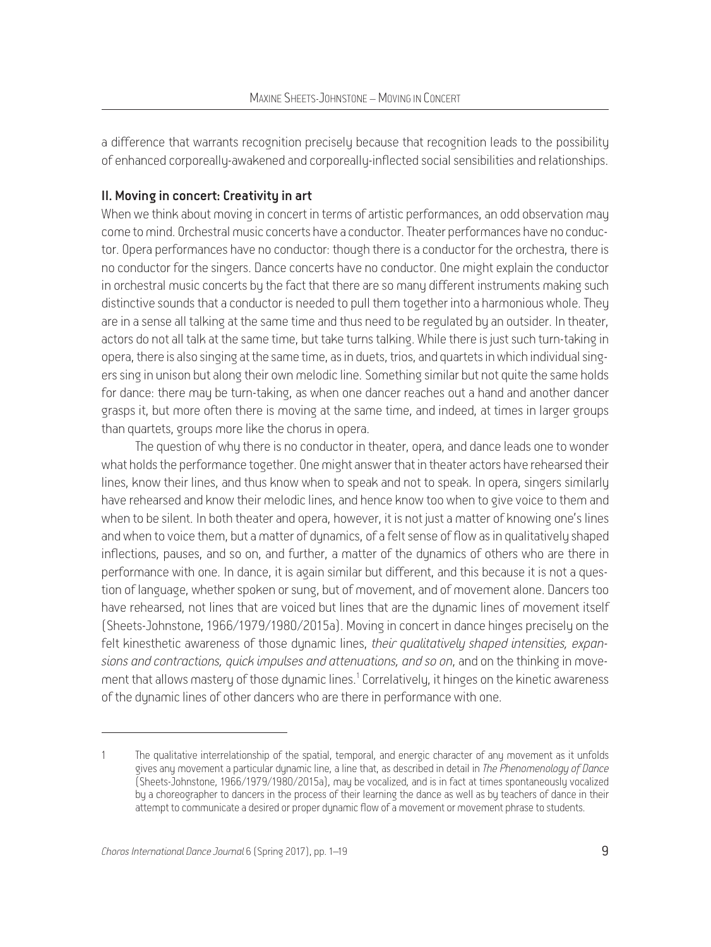a difference that warrants recognition precisely because that recognition leads to the possibility of enhanced corporeally-awakened and corporeally-inflected social sensibilities and relationships.

# II. Moving in concert: Creativity in art

When we think about moving in concert in terms of artistic performances, an odd observation may come to mind. Orchestral music concerts have a conductor. Theater performances have no conductor. Opera performances have no conductor: though there is a conductor for the orchestra, there is no conductor for the singers. Dance concerts have no conductor. One might explain the conductor in orchestral music concerts bu the fact that there are so manu different instruments making such distinctive sounds that a conductor is needed to pull them together into a harmonious whole. They are in a sense all talking at the same time and thus need to be regulated by an outsider. In theater, actors do not all talk at the same time, but take turns talking. While there is just such turn-taking in opera, there is also singing at the same time, as in duets, trios, and quartets in which individual singers sing in unison but along their own melodic line. Something similar but not quite the same holds for dance: there may be turn-taking, as when one dancer reaches out a hand and another dancer grasps it, but more often there is moving at the same time, and indeed, at times in larger groups than quartets, groups more like the chorus in opera.

The question of why there is no conductor in theater, opera, and dance leads one to wonder what holds the performance together. One might answer that in theater actors have rehearsed their lines, know their lines, and thus know when to speak and not to speak. In opera, singers similarly have rehearsed and know their melodic lines, and hence know too when to give voice to them and when to be silent. In both theater and opera, however, it is not just a matter of knowing one's lines and when to voice them, but a matter of dynamics, of a felt sense of flow as in qualitatively shaped inflections, pauses, and so on, and further, a matter of the dynamics of others who are there in performance with one. In dance, it is again similar but different, and this because it is not a question of language, whether spoken or sung, but of movement, and of movement alone. Dancers too have rehearsed, not lines that are voiced but lines that are the dynamic lines of movement itself (Sheets-Johnstone, 1966/1979/1980/2015a). Moving in concert in dance hinges precisely on the felt kinesthetic awareness of those dynamic lines, *their qualitatively shaped intensities, expansions and contractions, quick impulses and attenuations, and so on*, and on the thinking in movement that allows mastery of those dynamic lines.<sup>1</sup> Correlatively, it hinges on the kinetic awareness of the dynamic lines of other dancers who are there in performance with one.

<sup>1</sup> The qualitative interrelationship of the spatial, temporal, and energic character of any movement as it unfolds gives any movement a particular dynamic line, a line that, as described in detail in *The Phenomenology of Dance* (Sheets-Johnstone, 1966/1979/1980/2015a), may be vocalized, and is in fact at times spontaneously vocalized by a choreographer to dancers in the process of their learning the dance as well as by teachers of dance in their attempt to communicate a desired or proper dynamic flow of a movement or movement phrase to students.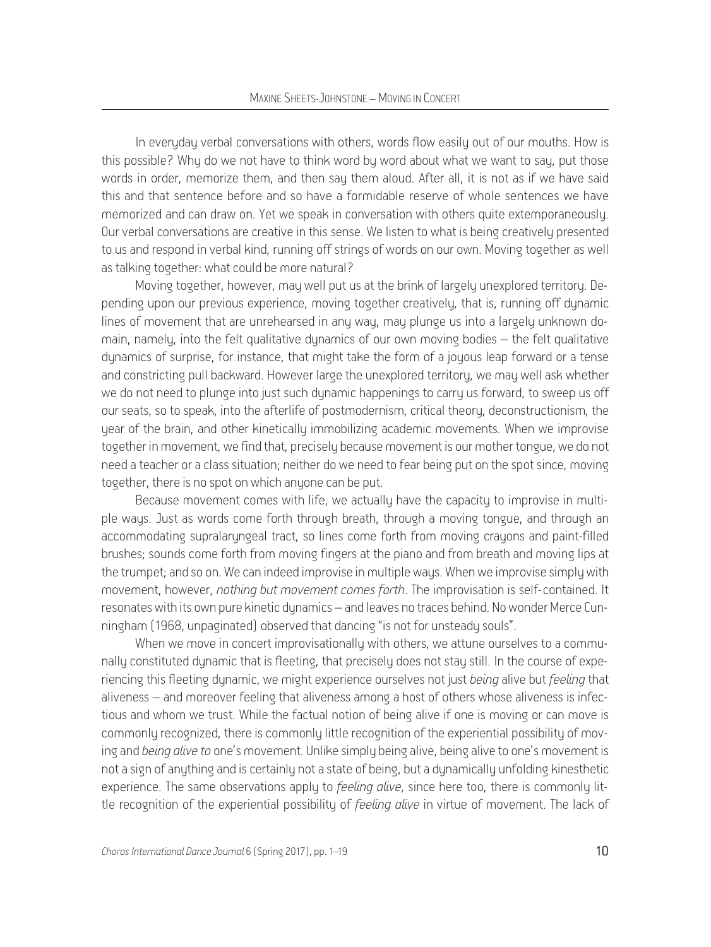In everyday verbal conversations with others, words flow easily out of our mouths. How is this possible? Why do we not have to think word by word about what we want to say, put those words in order, memorize them, and then say them aloud. After all, it is not as if we have said this and that sentence before and so have a formidable reserve of whole sentences we have memorized and can draw on. Yet we speak in conversation with others quite extemporaneously. Our verbal conversations are creative in this sense. We listen to what is being creatively presented to us and respond in verbal kind, running off strings of words on our own. Moving together as well as talking together: what could be more natural?

Moving together, however, may well put us at the brink of largely unexplored territory. Depending upon our previous experience, moving together creatively, that is, running off dynamic lines of movement that are unrehearsed in any way, may plunge us into a largely unknown domain, namely, into the felt qualitative dynamics of our own moving bodies – the felt qualitative dynamics of surprise, for instance, that might take the form of a joyous leap forward or a tense and constricting pull backward. However large the unexplored territory, we may well ask whether we do not need to plunge into just such dynamic happenings to carry us forward, to sweep us off our seats, so to speak, into the afterlife of postmodernism, critical theory, deconstructionism, the year of the brain, and other kinetically immobilizing academic movements. When we improvise together in movement, we find that, precisely because movement is our mother tongue, we do not need a teacher or a class situation; neither do we need to fear being put on the spot since, moving together, there is no spot on which anyone can be put.

Because movement comes with life, we actually have the capacity to improvise in multiple ways. Just as words come forth through breath, through a moving tongue, and through an accommodating supralaryngeal tract, so lines come forth from moving crayons and paint-filled brushes; sounds come forth from moving fingers at the piano and from breath and moving lips at the trumpet; and so on. We can indeed improvise in multiple ways. When we improvise simply with movement, however, *nothing but movement comes forth*. The improvisation is self-contained. It resonates with its own pure kinetic dynamics – and leaves no traces behind. No wonder Merce Cunningham (1968, unpaginated) observed that dancing "is not for unsteady souls".

When we move in concert improvisationally with others, we attune ourselves to a communally constituted dynamic that is fleeting, that precisely does not stay still. In the course of experiencing this fleeting dynamic, we might experience ourselves not just *being* alive but *feeling* that aliveness – and moreover feeling that aliveness among a host of others whose aliveness is infectious and whom we trust. While the factual notion of being alive if one is moving or can move is commonly recognized, there is commonly little recognition of the experiential possibility of moving and *being alive to* one's movement. Unlike simply being alive, being alive to one's movement is not a sign of anything and is certainly not a state of being, but a dynamically unfolding kinesthetic experience. The same observations apply to *feeling alive*, since here too, there is commonly little recognition of the experiential possibility of *feeling alive* in virtue of movement. The lack of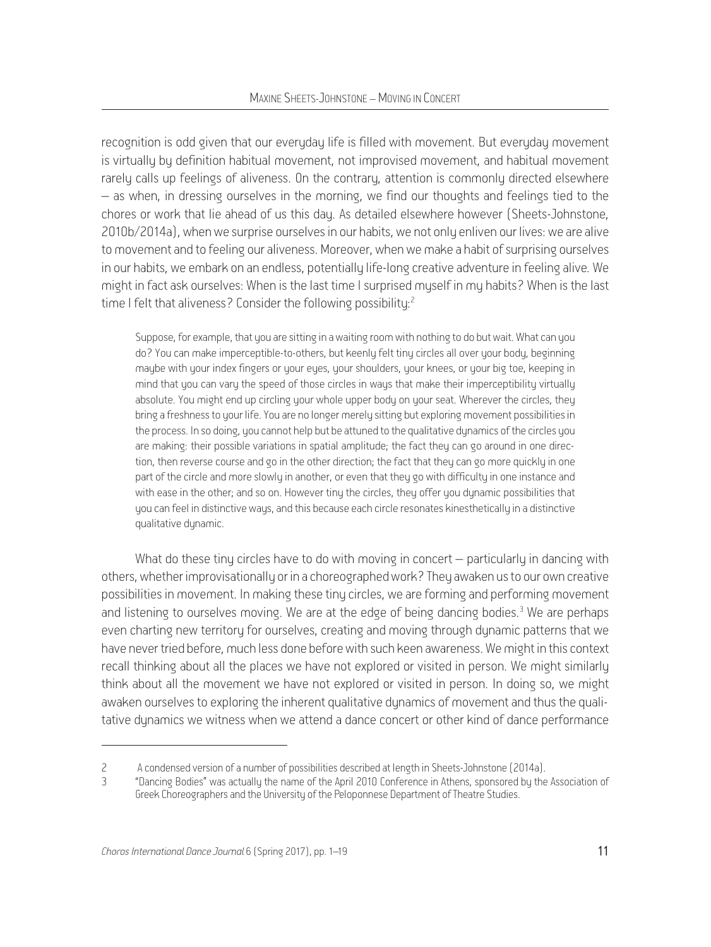recognition is odd given that our everyday life is filled with movement. But everyday movement is virtually by definition habitual movement, not improvised movement, and habitual movement rarely calls up feelings of aliveness. On the contrary, attention is commonly directed elsewhere – as when, in dressing ourselves in the morning, we find our thoughts and feelings tied to the chores or work that lie ahead of us this day. As detailed elsewhere however (Sheets-Johnstone, 2010b/2014a), when we surprise ourselves in our habits, we not only enliven our lives: we are alive to movement and to feeling our aliveness. Moreover, when we make a habit of surprising ourselves in our habits, we embark on an endless, potentially life-long creative adventure in feeling alive*.* We might in fact ask ourselves: When is the last time I surprised myself in my habits? When is the last time I felt that aliveness? Consider the following possibility:<sup>2</sup>

Suppose, for example, that you are sitting in a waiting room with nothing to do but wait. What can you do? You can make imperceptible-to-others, but keenly felt tiny circles all over your body, beginning maybe with your index fingers or your eyes, your shoulders, your knees, or your big toe, keeping in mind that you can vary the speed of those circles in ways that make their imperceptibility virtually absolute. You might end up circling your whole upper body on your seat. Wherever the circles, they bring a freshness to your life. You are no longer merely sitting but exploring movement possibilities in the process. In so doing, you cannot help but be attuned to the qualitative dynamics of the circles you are making: their possible variations in spatial amplitude; the fact they can go around in one direction, then reverse course and go in the other direction; the fact that they can go more quickly in one part of the circle and more slowly in another, or even that they go with difficulty in one instance and with ease in the other; and so on. However tiny the circles, they offer you dynamic possibilities that you can feel in distinctive ways, and this because each circle resonates kinesthetically in a distinctive qualitative dynamic.

What do these tiny circles have to do with moving in concert – particularly in dancing with others, whether improvisationally or in a choreographed work? They awaken us to our own creative possibilities in movement. In making these tiny circles, we are forming and performing movement and listening to ourselves moving. We are at the edge of being dancing bodies.<sup>3</sup> We are perhaps even charting new territory for ourselves, creating and moving through dynamic patterns that we have never tried before, much less done before with such keen awareness. We might in this context recall thinking about all the places we have not explored or visited in person. We might similarly think about all the movement we have not explored or visited in person. In doing so, we might awaken ourselves to exploring the inherent qualitative dynamics of movement and thus the qualitative dynamics we witness when we attend a dance concert or other kind of dance performance

<sup>2</sup> A condensed version of a number of possibilities described at length in Sheets-Johnstone (2014a).

<sup>3</sup> "Dancing Bodies" was actually the name of the April 2010 Conference in Athens, sponsored by the Association of Greek Choreographers and the University of the Peloponnese Department of Theatre Studies.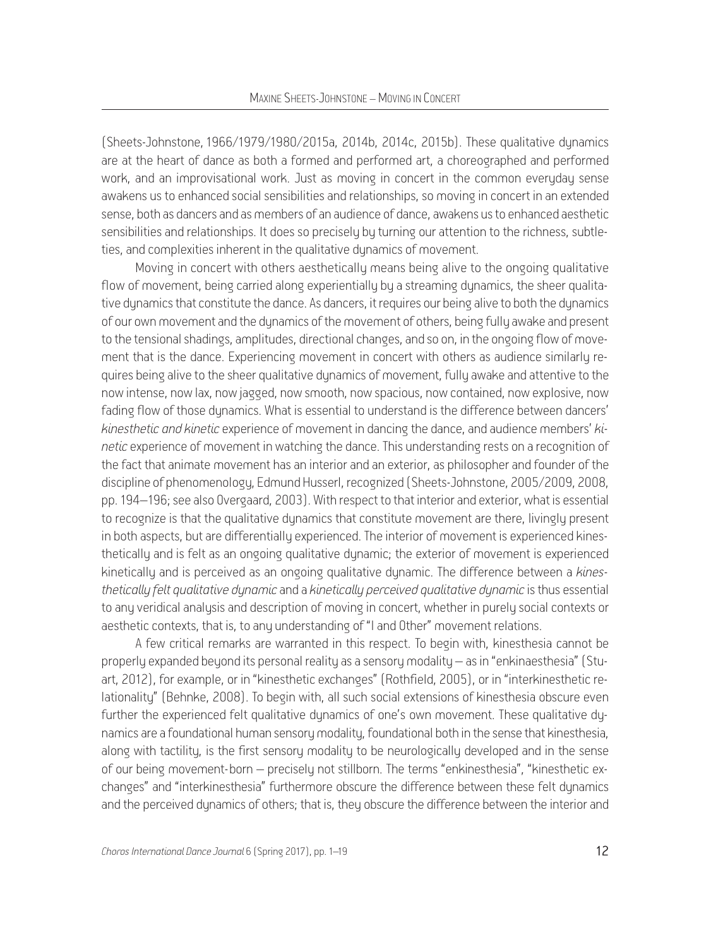(Sheets-Johnstone, 1966/1979/1980/2015a, 2014b, 2014c, 2015b). These qualitative dynamics are at the heart of dance as both a formed and performed art, a choreographed and performed work, and an improvisational work. Just as moving in concert in the common everyday sense awakens us to enhanced social sensibilities and relationships, so moving in concert in an extended sense, both as dancers and as members of an audience of dance, awakens us to enhanced aesthetic sensibilities and relationships. It does so precisely by turning our attention to the richness, subtleties, and complexities inherent in the qualitative dunamics of movement.

Moving in concert with others aesthetically means being alive to the ongoing qualitative flow of movement, being carried along experientially by a streaming dunamics, the sheer qualitative dunamics that constitute the dance. As dancers, it requires our being alive to both the dunamics of our own movement and the dynamics of the movement of others, being fully awake and present to the tensional shadings, amplitudes, directional changes, and so on, in the ongoing flow of movement that is the dance. Experiencing movement in concert with others as audience similarly requires being alive to the sheer qualitative dynamics of movement, fully awake and attentive to the now intense, now lax, now jagged, now smooth, now spacious, now contained, now explosive, now fading flow of those dynamics. What is essential to understand is the difference between dancers' *kinesthetic and kinetic* experience of movement in dancing the dance, and audience members' *kinetic* experience of movement in watching the dance. This understanding rests on a recognition of the fact that animate movement has an interior and an exterior, as philosopher and founder of the discipline of phenomenology, Edmund Husserl, recognized (Sheets-Johnstone, 2005/2009, 2008, pp. 194–196; see also Overgaard, 2003). With respect to that interior and exterior, what is essential to recognize is that the qualitative dynamics that constitute movement are there, livingly present in both aspects, but are differentially experienced. The interior of movement is experienced kinesthetically and is felt as an ongoing qualitative dynamic; the exterior of movement is experienced kinetically and is perceived as an ongoing qualitative dynamic. The difference between a *kinesthetically felt qualitative dynamic* and a *kinetically perceived qualitative dynamic* is thus essential to any veridical analysis and description of moving in concert, whether in purely social contexts or aesthetic contexts, that is, to any understanding of "I and Other" movement relations.

A few critical remarks are warranted in this respect. To begin with, kinesthesia cannot be properly expanded beyond its personal reality as a sensory modality – as in "enkinaesthesia" (Stuart, 2012), for example, or in "kinesthetic exchanges" (Rothfield, 2005), or in "interkinesthetic relationality" (Behnke, 2008). To begin with, all such social extensions of kinesthesia obscure even further the experienced felt qualitative dynamics of one's own movement. These qualitative dynamics are a foundational human sensory modality, foundational both in the sense that kinesthesia, along with tactility, is the first sensory modality to be neurologically developed and in the sense of our being movement-born – precisely not stillborn. The terms "enkinesthesia", "kinesthetic exchanges" and "interkinesthesia" furthermore obscure the difference between these felt dynamics and the perceived dynamics of others; that is, they obscure the difference between the interior and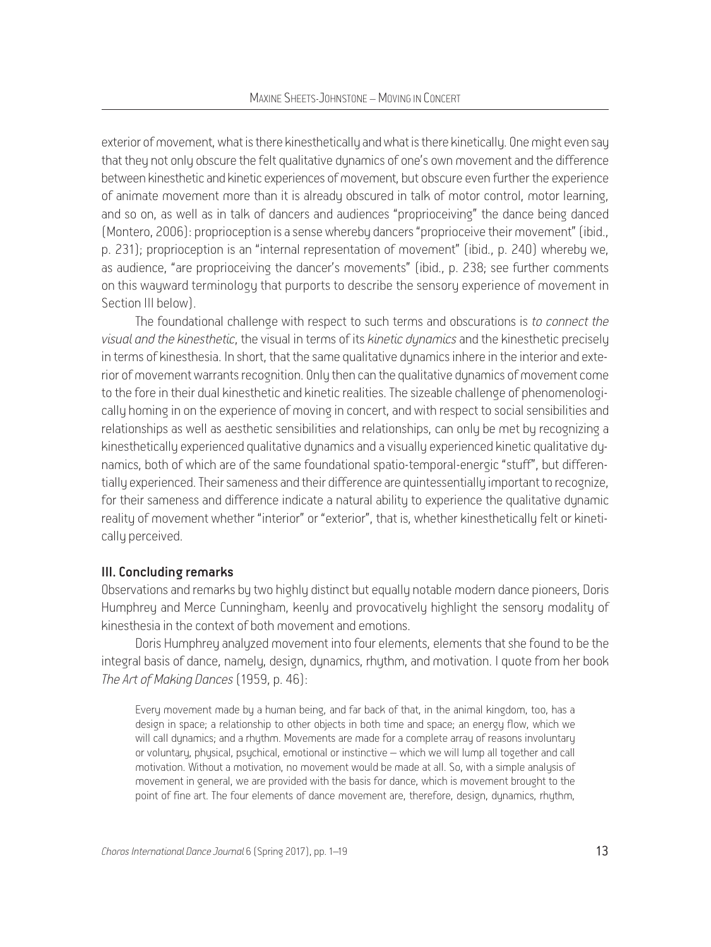exterior of movement, what is there kinesthetically and what is there kinetically. One might even say that they not only obscure the felt qualitative dynamics of one's own movement and the difference between kinesthetic and kinetic experiences of movement, but obscure even further the experience of animate movement more than it is already obscured in talk of motor control, motor learning, and so on, as well as in talk of dancers and audiences "proprioceiving" the dance being danced (Montero, 2006): proprioception is a sense whereby dancers "proprioceive their movement" (ibid., p. 231); proprioception is an "internal representation of movement" (ibid., p. 240) whereby we, as audience, "are proprioceiving the dancer's movements" (ibid., p. 238; see further comments on this wayward terminology that purports to describe the sensory experience of movement in Section III below).

The foundational challenge with respect to such terms and obscurations is *to connect the visual and the kinesthetic*, the visual in terms of its *kinetic dynamics* and the kinesthetic precisely in terms of kinesthesia. In short, that the same qualitative dunamics inhere in the interior and exterior of movement warrants recognition. Only then can the qualitative dynamics of movement come to the fore in their dual kinesthetic and kinetic realities. The sizeable challenge of phenomenologically homing in on the experience of moving in concert, and with respect to social sensibilities and relationships as well as aesthetic sensibilities and relationships, can only be met by recognizing a kinesthetically experienced qualitative dynamics and a visually experienced kinetic qualitative dynamics, both of which are of the same foundational spatio-temporal-energic "stuff", but differentially experienced. Their sameness and their difference are quintessentially important to recognize, for their sameness and difference indicate a natural ability to experience the qualitative dynamic reality of movement whether "interior" or "exterior", that is, whether kinesthetically felt or kinetically perceived.

# III. Concluding remarks

Observations and remarks by two highly distinct but equally notable modern dance pioneers, Doris Humphrey and Merce Cunningham, keenly and provocatively highlight the sensory modality of kinesthesia in the context of both movement and emotions.

Doris Humphrey analyzed movement into four elements, elements that she found to be the integral basis of dance, namely, design, dynamics, rhythm, and motivation. I quote from her book *The Art of Making Dances* (1959, p. 46):

Every movement made by a human being, and far back of that, in the animal kingdom, too, has a design in space; a relationship to other objects in both time and space; an energy flow, which we will call dynamics; and a rhythm. Movements are made for a complete array of reasons involuntary or voluntary, physical, psychical, emotional or instinctive – which we will lump all together and call motivation. Without a motivation, no movement would be made at all. So, with a simple analysis of movement in general, we are provided with the basis for dance, which is movement brought to the point of fine art. The four elements of dance movement are, therefore, design, dynamics, rhythm,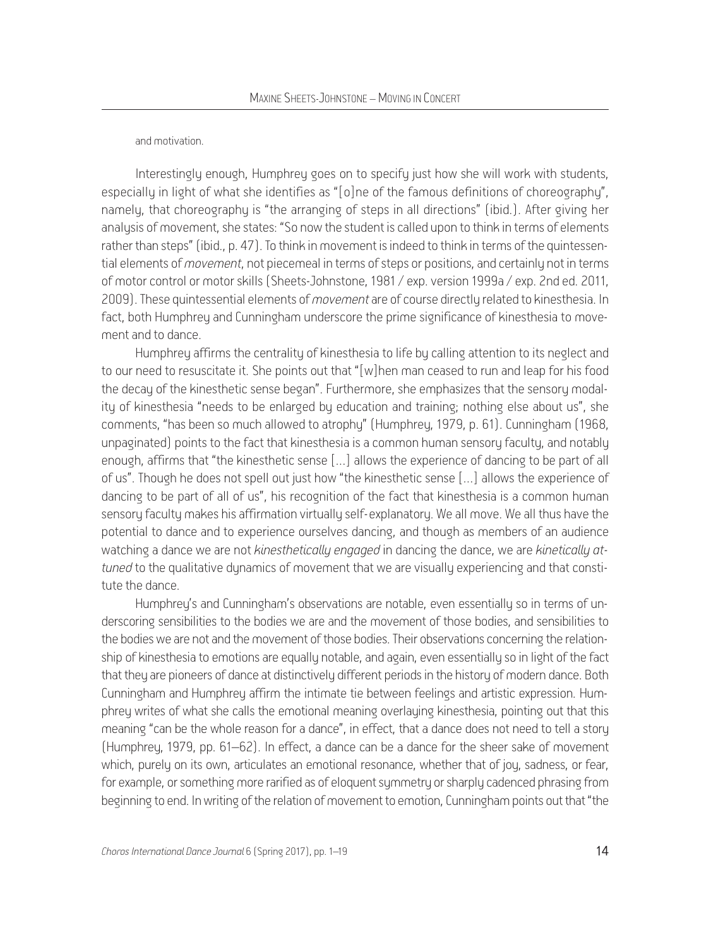#### and motivation.

Interestingly enough, Humphrey goes on to specify just how she will work with students, especially in light of what she identifies as "[o]ne of the famous definitions of choreography", namely, that choreography is "the arranging of steps in all directions" (ibid.). After giving her analysis of movement, she states: "So now the student is called upon to think in terms of elements rather than steps" (ibid., p. 47). To think in movement is indeed to think in terms of the quintessential elements of *movement*, not piecemeal in terms of steps or positions, and certainly not in terms of motor control or motor skills (Sheets-Johnstone, 1981 / exp. version 1999a / exp. 2nd ed. 2011, 2009). These quintessential elements of *movement* are of course directly related to kinesthesia. In fact, both Humphrey and Cunningham underscore the prime significance of kinesthesia to movement and to dance.

Humphrey affirms the centrality of kinesthesia to life by calling attention to its neglect and to our need to resuscitate it. She points out that "[w]hen man ceased to run and leap for his food the decay of the kinesthetic sense began". Furthermore, she emphasizes that the sensory modality of kinesthesia "needs to be enlarged by education and training; nothing else about us", she comments, "has been so much allowed to atrophy" (Humphrey, 1979, p. 61). Cunningham (1968, unpaginated) points to the fact that kinesthesia is a common human sensory faculty, and notably enough, affirms that "the kinesthetic sense […] allows the experience of dancing to be part of all of us". Though he does not spell out just how "the kinesthetic sense […] allows the experience of dancing to be part of all of us", his recognition of the fact that kinesthesia is a common human sensory faculty makes his affirmation virtually self-explanatory. We all move. We all thus have the potential to dance and to experience ourselves dancing, and though as members of an audience watching a dance we are not *kinesthetically engaged* in dancing the dance, we are *kinetically attuned* to the qualitative dynamics of movement that we are visually experiencing and that constitute the dance.

Humphrey's and Cunningham's observations are notable, even essentially so in terms of underscoring sensibilities to the bodies we are and the movement of those bodies, and sensibilities to the bodies we are not and the movement of those bodies. Their observations concerning the relationship of kinesthesia to emotions are equally notable, and again, even essentially so in light of the fact that they are pioneers of dance at distinctively different periods in the history of modern dance. Both Cunningham and Humphrey affirm the intimate tie between feelings and artistic expression. Humphrey writes of what she calls the emotional meaning overlaying kinesthesia, pointing out that this meaning "can be the whole reason for a dance", in effect, that a dance does not need to tell a story (Humphrey, 1979, pp. 61–62). In effect, a dance can be a dance for the sheer sake of movement which, purely on its own, articulates an emotional resonance, whether that of joy, sadness, or fear, for example, or something more rarified as of eloquent symmetry or sharply cadenced phrasing from beginning to end. In writing of the relation of movement to emotion, Cunningham points out that "the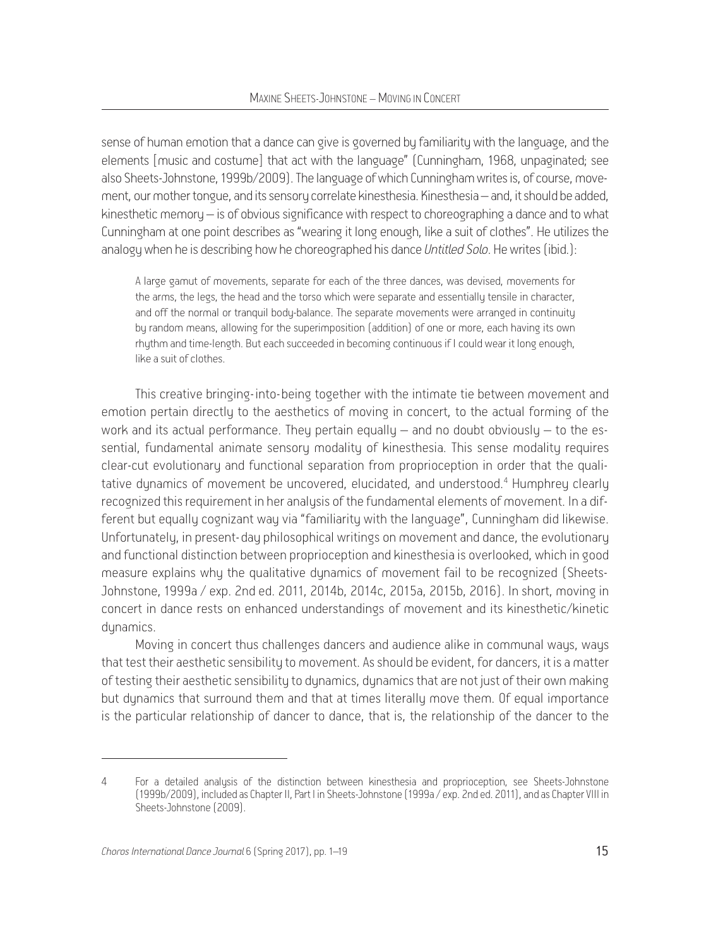sense of human emotion that a dance can give is governed by familiarity with the language, and the elements [music and costume] that act with the language" (Cunningham, 1968, unpaginated; see also Sheets-Johnstone, 1999b/2009). The language of which Cunningham writes is, of course, movement, our mother tongue, and its sensory correlate kinesthesia. Kinesthesia – and, it should be added, kinesthetic memory – is of obvious significance with respect to choreographing a dance and to what Cunningham at one point describes as "wearing it long enough, like a suit of clothes". He utilizes the analogy when he is describing how he choreographed his dance *Untitled Solo*. He writes (ibid.):

A large gamut of movements, separate for each of the three dances, was devised, movements for the arms, the legs, the head and the torso which were separate and essentially tensile in character, and off the normal or tranquil body-balance. The separate movements were arranged in continuity by random means, allowing for the superimposition (addition) of one or more, each having its own rhythm and time-length. But each succeeded in becoming continuous if I could wear it long enough, like a suit of clothes.

This creative bringing-into-being together with the intimate tie between movement and emotion pertain directly to the aesthetics of moving in concert, to the actual forming of the work and its actual performance. They pertain equally  $-$  and no doubt obviously  $-$  to the essential, fundamental animate sensory modality of kinesthesia. This sense modality requires clear-cut evolutionary and functional separation from proprioception in order that the qualitative dynamics of movement be uncovered, elucidated, and understood.<sup>4</sup> Humphrey clearly recognized this requirement in her analysis of the fundamental elements of movement. In a different but equally cognizant way via "familiarity with the language", Cunningham did likewise. Unfortunately, in present-day philosophical writings on movement and dance, the evolutionary and functional distinction between proprioception and kinesthesia is overlooked, which in good measure explains why the qualitative dynamics of movement fail to be recognized (Sheets-Johnstone, 1999a / exp. 2nd ed. 2011, 2014b, 2014c, 2015a, 2015b, 2016). In short, moving in concert in dance rests on enhanced understandings of movement and its kinesthetic/kinetic dunamics.

Moving in concert thus challenges dancers and audience alike in communal ways, ways that test their aesthetic sensibility to movement. As should be evident, for dancers, it is a matter of testing their aesthetic sensibility to dynamics, dynamics that are not just of their own making but dynamics that surround them and that at times literally move them. Of equal importance is the particular relationship of dancer to dance, that is, the relationship of the dancer to the

<sup>4</sup> For a detailed analysis of the distinction between kinesthesia and proprioception, see Sheets-Johnstone (1999b/2009), included as Chapter II, Part I in Sheets-Johnstone (1999a / exp. 2nd ed. 2011), and as Chapter VIII in Sheets-Johnstone (2009).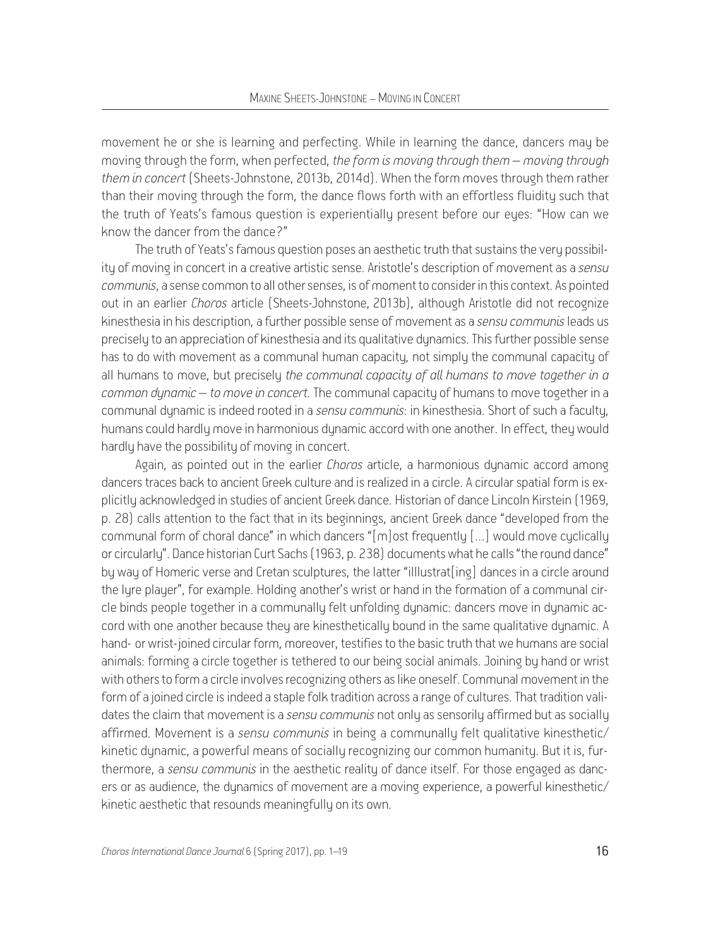movement he or she is learning and perfecting. While in learning the dance, dancers may be moving through the form, when perfected, *the form is moving through them* – *moving through them in concert* (Sheets-Johnstone, 2013b, 2014d). When the form moves through them rather than their moving through the form, the dance flows forth with an effortless fluidity such that the truth of Yeats's famous question is experientially present before our eyes: "How can we know the dancer from the dance?"

The truth of Yeats's famous question poses an aesthetic truth that sustains the very possibility of moving in concert in a creative artistic sense. Aristotle's description of movement as a *sensu communis*, a sense common to all other senses, is of moment to consider in this context. As pointed out in an earlier *Choros* article (Sheets-Johnstone, 2013b), although Aristotle did not recognize kinesthesia in his description, a further possible sense of movement as a *sensu communis* leads us precisely to an appreciation of kinesthesia and its qualitative dynamics. This further possible sense has to do with movement as a communal human capacity, not simply the communal capacity of all humans to move, but precisely *the communal capacity of all humans to move together in a common dynamic* – *to move in concert.* The communal capacity of humans to move together in a communal dynamic is indeed rooted in a *sensu communis*: in kinesthesia. Short of such a faculty, humans could hardly move in harmonious dynamic accord with one another. In effect, they would hardly have the possibility of moving in concert.

Again, as pointed out in the earlier *Choros* article, a harmonious dynamic accord among dancers traces back to ancient Greek culture and is realized in a circle. A circular spatial form is explicitly acknowledged in studies of ancient Greek dance. Historian of dance Lincoln Kirstein (1969, p. 28) calls attention to the fact that in its beginnings, ancient Greek dance "developed from the communal form of choral dance" in which dancers "[m]ost frequently […] would move cyclically or circularly". Dance historian Curt Sachs (1963, p. 238) documents what he calls "the round dance" by way of Homeric verse and Cretan sculptures, the latter "illlustrat [ing] dances in a circle around the lyre player", for example. Holding another's wrist or hand in the formation of a communal circle binds people together in a communally felt unfolding dynamic: dancers move in dynamic accord with one another because they are kinesthetically bound in the same qualitative dynamic. A hand- or wrist-joined circular form, moreover, testifies to the basic truth that we humans are social animals: forming a circle together is tethered to our being social animals. Joining by hand or wrist with others to form a circle involves recognizing others as like oneself. Communal movement in the form of a joined circle is indeed a staple folk tradition across a range of cultures. That tradition validates the claim that movement is a *sensu communis* not only as sensorily affirmed but as socially affirmed. Movement is a *sensu communis* in being a communally felt qualitative kinesthetic/ kinetic dynamic, a powerful means of socially recognizing our common humanity. But it is, furthermore, a *sensu communis* in the aesthetic reality of dance itself. For those engaged as dancers or as audience, the dynamics of movement are a moving experience, a powerful kinesthetic/ kinetic aesthetic that resounds meaningfully on its own.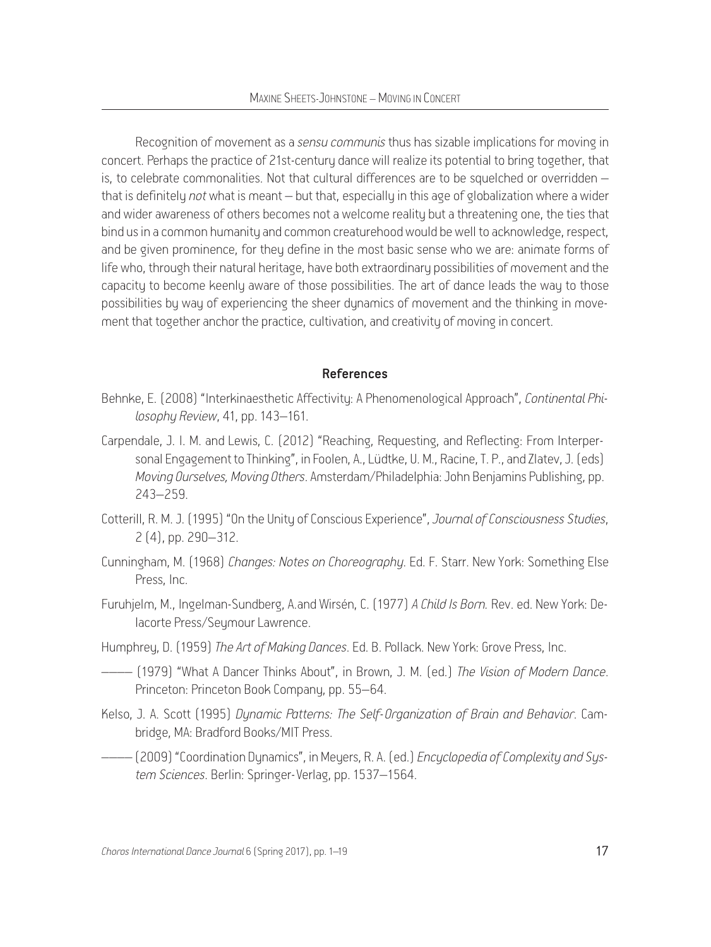Recognition of movement as a *sensu communis* thus has sizable implications for moving in concert. Perhaps the practice of 21st-century dance will realize its potential to bring together, that is, to celebrate commonalities. Not that cultural differences are to be squelched or overridden – that is definitely *not* what is meant – but that, especially in this age of globalization where a wider and wider awareness of others becomes not a welcome reality but a threatening one, the ties that bind us in a common humanity and common creaturehood would be well to acknowledge, respect, and be given prominence, for they define in the most basic sense who we are: animate forms of life who, through their natural heritage, have both extraordinary possibilities of movement and the capacity to become keenly aware of those possibilities. The art of dance leads the way to those possibilities by way of experiencing the sheer dynamics of movement and the thinking in movement that together anchor the practice, cultivation, and creativity of moving in concert.

### References

- Behnke, E. (2008) "Interkinaesthetic Affectivity: A Phenomenological Approach", *Continental Philosophy Review*, 41, pp. 143–161.
- Carpendale, J. I. M. and Lewis, C. (2012) "Reaching, Requesting, and Reflecting: From Interpersonal Engagement to Thinking", in Foolen, A., Lüdtke, U. M., Racine, T. P., and Zlatev, J. (eds) *Moving Ourselves, Moving Others*. Amsterdam/Philadelphia: John Benjamins Publishing, pp. 243–259.
- Cotterill, R. M. J. (1995) "On the Unity of Conscious Experience", *Journal of Consciousness Studies*, 2 (4), pp. 290–312.
- Cunningham, M. (1968) *Changes: Notes on Choreography*. Ed. F. Starr. New York: Something Else Press, Inc.
- Furuhjelm, M., Ingelman-Sundberg, A.and Wirsén, C. (1977) *A Child Is Born.* Rev. ed. New York: Delacorte Press/Seymour Lawrence.
- Humphrey, D. (1959) *The Art of Making Dances*. Ed. B. Pollack. New York: Grove Press, Inc.
- –––– (1979) "What A Dancer Thinks About", in Brown, J. M. (ed.) *The Vision of Modern Dance*. Princeton: Princeton Book Company, pp. 55–64.
- Kelso, J. A. Scott (1995) *Dynamic Patterns: The Self-Organization of Brain and Behavior*. Cambridge, MA: Bradford Books/MIT Press.
- –––– (2009) "Coordination Dynamics", in Meyers, R. A. (ed.) *Encyclopedia of Complexity and System Sciences*. Berlin: Springer-Verlag, pp. 1537–1564.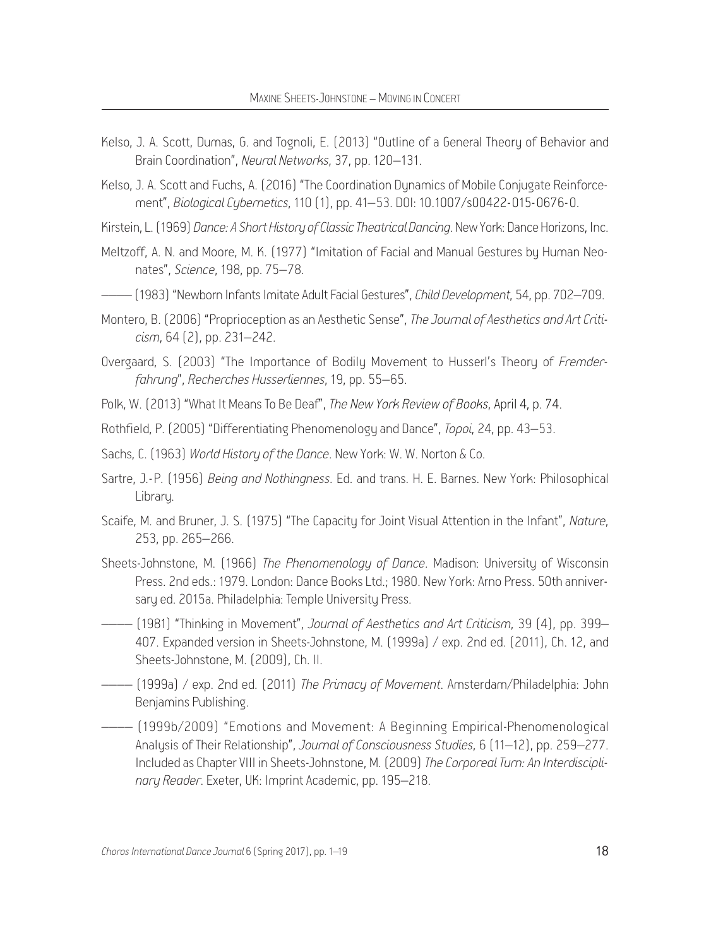- Kelso, J. A. Scott, Dumas, G. and Tognoli, E. (2013) "Outline of a General Theory of Behavior and Brain Coordination", *Neural Networks*, 37, pp. 120–131.
- Kelso, J. A. Scott and Fuchs, A. (2016) "The Coordination Dynamics of Mobile Conjugate Reinforcement", *Biological Cybernetics*, 110 (1), pp. 41–53. DOI: 10.1007/s00422-015-0676-0.
- Kirstein, L. (1969) *Dance: A Short History of Classic Theatrical Dancing*. New York: Dance Horizons, Inc.
- Meltzoff, A. N. and Moore, M. K. (1977) "Imitation of Facial and Manual Gestures by Human Neonates", *Science*, 198, pp. 75–78.
- –––– (1983) "Newborn Infants Imitate Adult Facial Gestures", *Child Development*, 54, pp. 702–709.
- Montero, B. (2006) "Proprioception as an Aesthetic Sense", *The Journal of Aesthetics and Art Criticism*, 64 (2), pp. 231–242.
- Overgaard, S. (2003) "The Importance of Bodily Movement to Husserl's Theory of *Fremderfahrung*", *Recherches Husserliennes*, 19, pp. 55–65.
- Polk, W. (2013) "What It Means To Be Deaf", *The New York Review of Books*, April 4, p. 74.
- Rothfield, P. (2005) "Differentiating Phenomenology and Dance", *Topoi*, 24, pp. 43–53.
- Sachs, C. (1963) *World History of the Dance*. New York: W. W. Norton & Co.
- Sartre, J.-P. (1956) *Being and Nothingness*. Ed. and trans. Η. E. Barnes. New York: Philosophical Library.
- Scaife, M. and Bruner, J. S. (1975) "The Capacity for Joint Visual Attention in the Infant", *Nature*, 253, pp. 265–266.
- Sheets-Johnstone, M. (1966) *The Phenomenology of Dance*. Madison: University of Wisconsin Press. 2nd eds.: 1979. London: Dance Books Ltd.; 1980. New York: Arno Press. 50th anniversary ed. 2015a. Philadelphia: Temple University Press.
- –––– (1981) "Thinking in Movement", *Journal of Aesthetics and Art Criticism*, 39 (4), pp. 399– 407. Expanded version in Sheets-Johnstone, M. (1999a) / exp. 2nd ed. (2011), Ch. 12, and Sheets-Johnstone, M. (2009), Ch. II.
- –––– (1999a) / exp. 2nd ed. (2011) *The Primacy of Movement*. Amsterdam/Philadelphia: John Benjamins Publishing.
- –––– (1999b/2009) "Emotions and Movement: A Beginning Empirical-Phenomenological Analysis of Their Relationship", *Journal of Consciousness Studies*, 6 (11–12), pp. 259–277. Included as Chapter VIII in Sheets-Johnstone, M. (2009) *The Corporeal Turn: An Interdisciplinary Reader*. Exeter, UK: Imprint Academic, pp. 195–218.